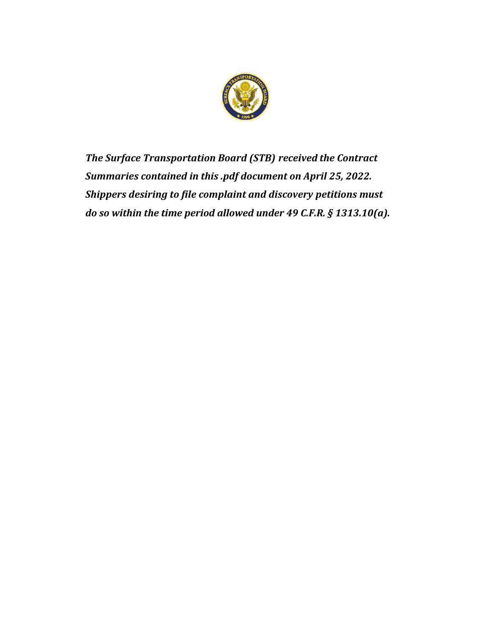

*The Surface Transportation Board (STB) received the Contract Summaries contained in this .pdf document on April 25, 2022. Shippers desiring to file complaint and discovery petitions must do so within the time period allowed under 49 C.F.R. § 1313.10(a).*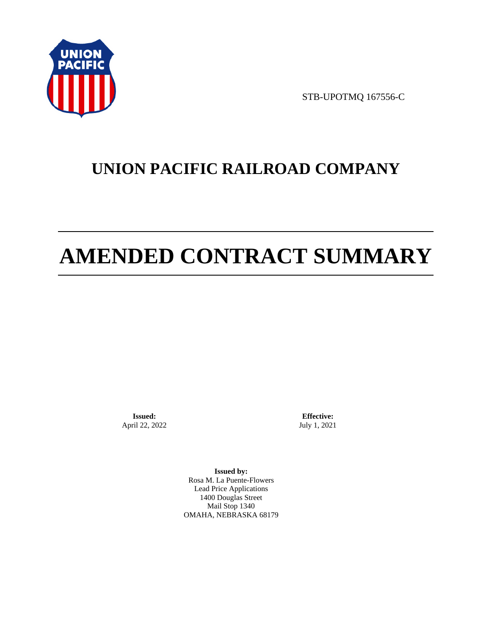

STB-UPOTMQ 167556-C

# **UNION PACIFIC RAILROAD COMPANY**

# **AMENDED CONTRACT SUMMARY**

**Issued:**  April 22, 2022

**Effective:** July 1, 2021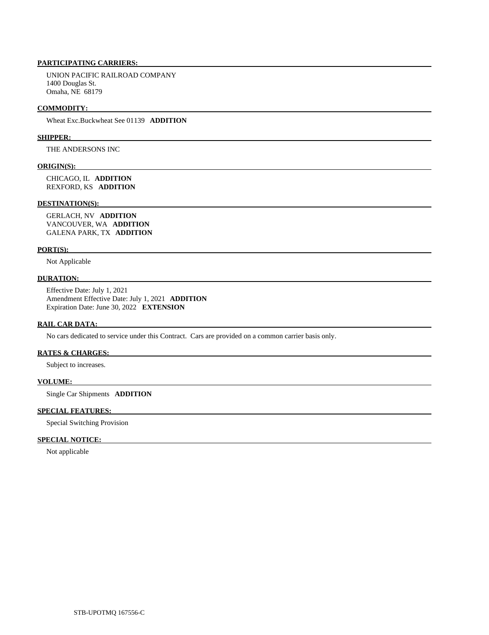UNION PACIFIC RAILROAD COMPANY 1400 Douglas St. Omaha, NE 68179

#### **COMMODITY:**

Wheat Exc.Buckwheat See 01139 **ADDITION** 

#### **SHIPPER:**

THE ANDERSONS INC

# **ORIGIN(S):**

 CHICAGO, IL **ADDITION**  REXFORD, KS **ADDITION** 

#### **DESTINATION(S):**

 GERLACH, NV **ADDITION**  VANCOUVER, WA **ADDITION**  GALENA PARK, TX **ADDITION** 

#### **PORT(S):**

Not Applicable

#### **DURATION:**

 Effective Date: July 1, 2021 Amendment Effective Date: July 1, 2021 **ADDITION**  Expiration Date: June 30, 2022 **EXTENSION** 

#### **RAIL CAR DATA:**

No cars dedicated to service under this Contract. Cars are provided on a common carrier basis only.

#### **RATES & CHARGES:**

Subject to increases.

#### **VOLUME:**

Single Car Shipments **ADDITION** 

# **SPECIAL FEATURES:**

Special Switching Provision

# **SPECIAL NOTICE:**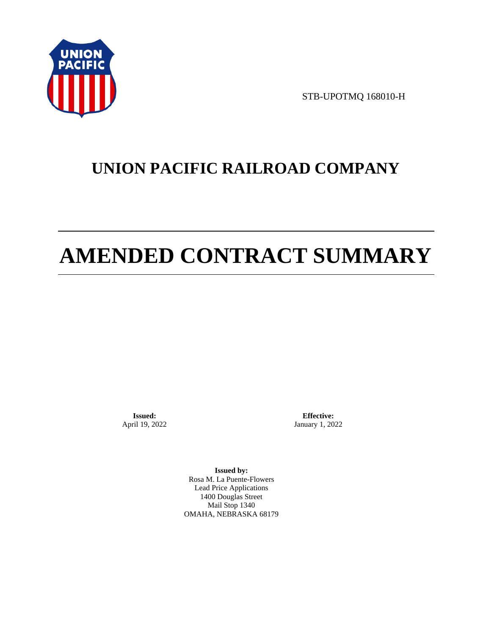

STB-UPOTMQ 168010-H

# **UNION PACIFIC RAILROAD COMPANY**

# **AMENDED CONTRACT SUMMARY**

**Issued:**  April 19, 2022

**Effective:** January 1, 2022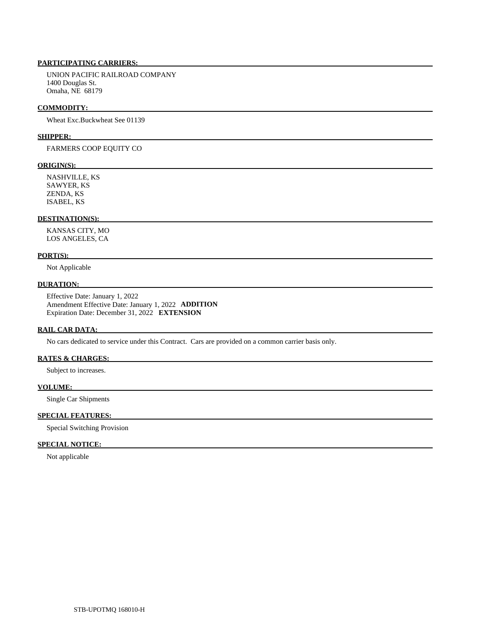UNION PACIFIC RAILROAD COMPANY 1400 Douglas St. Omaha, NE 68179

#### **COMMODITY:**

Wheat Exc.Buckwheat See 01139

#### **SHIPPER:**

FARMERS COOP EQUITY CO

#### **ORIGIN(S):**

 NASHVILLE, KS SAWYER, KS ZENDA, KS ISABEL, KS

# **DESTINATION(S):**

 KANSAS CITY, MO LOS ANGELES, CA

#### **PORT(S):**

Not Applicable

## **DURATION:**

 Effective Date: January 1, 2022 Amendment Effective Date: January 1, 2022 **ADDITION**  Expiration Date: December 31, 2022 **EXTENSION** 

#### **RAIL CAR DATA:**

No cars dedicated to service under this Contract. Cars are provided on a common carrier basis only.

## **RATES & CHARGES:**

Subject to increases.

#### **VOLUME:**

Single Car Shipments

# **SPECIAL FEATURES:**

Special Switching Provision

# **SPECIAL NOTICE:**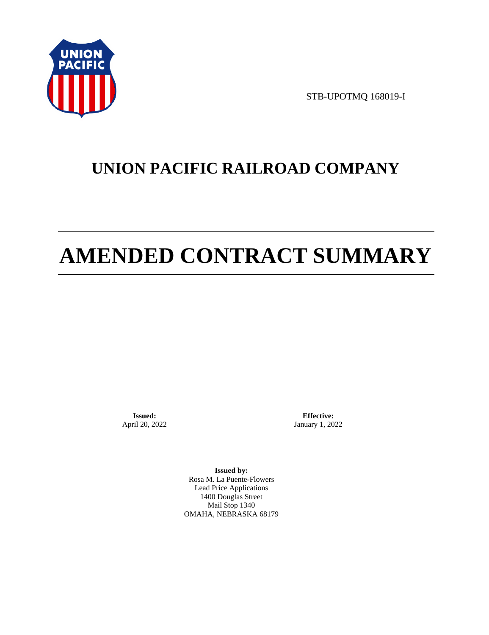

STB-UPOTMQ 168019-I

# **UNION PACIFIC RAILROAD COMPANY**

# **AMENDED CONTRACT SUMMARY**

**Issued:**  April 20, 2022

**Effective:** January 1, 2022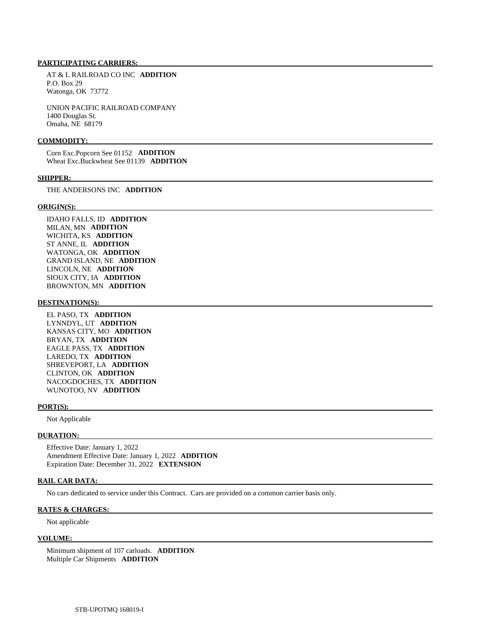AT & L RAILROAD CO INC **ADDITION**  P.O. Box 29 Watonga, OK 73772

 UNION PACIFIC RAILROAD COMPANY 1400 Douglas St. Omaha, NE 68179

#### **COMMODITY:**

 Corn Exc.Popcorn See 01152 **ADDITION**  Wheat Exc.Buckwheat See 01139 **ADDITION** 

#### **SHIPPER:**

THE ANDERSONS INC **ADDITION** 

#### **ORIGIN(S):**

 IDAHO FALLS, ID **ADDITION**  MILAN, MN **ADDITION**  WICHITA, KS **ADDITION**  ST ANNE, IL **ADDITION**  WATONGA, OK **ADDITION**  GRAND ISLAND, NE **ADDITION**  LINCOLN, NE **ADDITION**  SIOUX CITY, IA **ADDITION**  BROWNTON, MN **ADDITION** 

#### **DESTINATION(S):**

 EL PASO, TX **ADDITION**  LYNNDYL, UT **ADDITION**  KANSAS CITY, MO **ADDITION**  BRYAN, TX **ADDITION**  EAGLE PASS, TX **ADDITION**  LAREDO, TX **ADDITION**  SHREVEPORT, LA **ADDITION**  CLINTON, OK **ADDITION**  NACOGDOCHES, TX **ADDITION**  WUNOTOO, NV **ADDITION** 

#### **PORT(S):**

Not Applicable

#### **DURATION:**

 Effective Date: January 1, 2022 Amendment Effective Date: January 1, 2022 **ADDITION**  Expiration Date: December 31, 2022 **EXTENSION** 

#### **RAIL CAR DATA:**

No cars dedicated to service under this Contract. Cars are provided on a common carrier basis only.

#### **RATES & CHARGES:**

Not applicable

## **VOLUME:**

 Minimum shipment of 107 carloads. **ADDITION**  Multiple Car Shipments **ADDITION**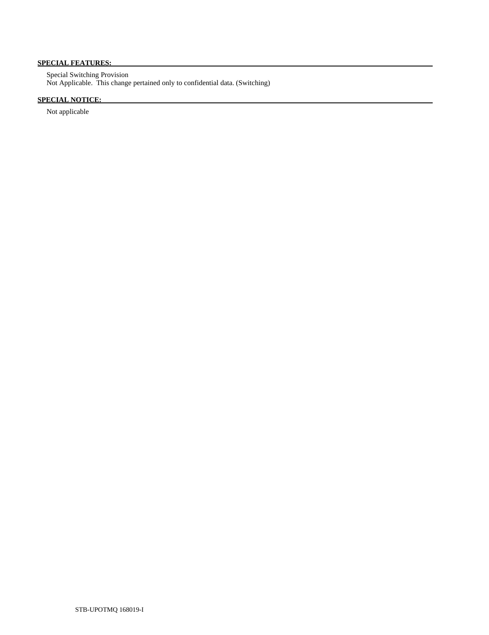# **SPECIAL FEATURES:**

 Special Switching Provision Not Applicable. This change pertained only to confidential data. (Switching)

# **SPECIAL NOTICE:**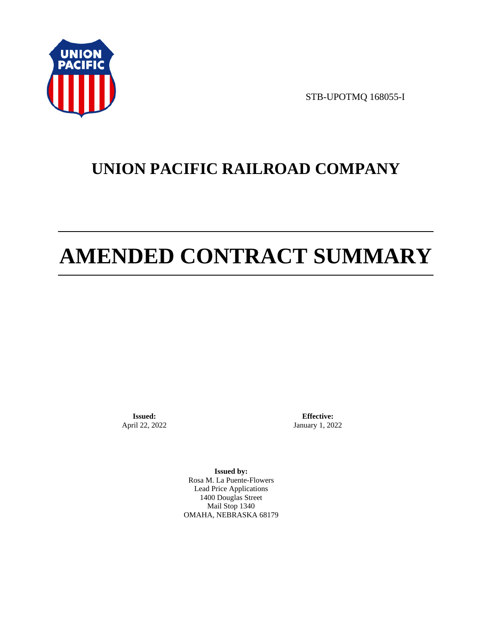

STB-UPOTMQ 168055-I

# **UNION PACIFIC RAILROAD COMPANY**

# **AMENDED CONTRACT SUMMARY**

**Issued:**  April 22, 2022

**Effective:** January 1, 2022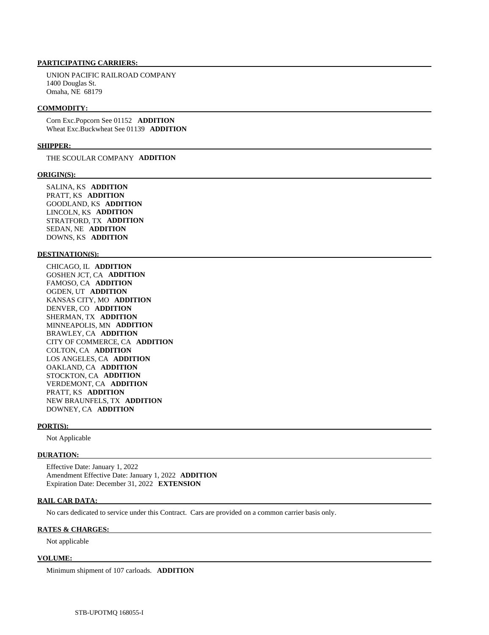UNION PACIFIC RAILROAD COMPANY 1400 Douglas St. Omaha, NE 68179

#### **COMMODITY:**

 Corn Exc.Popcorn See 01152 **ADDITION**  Wheat Exc.Buckwheat See 01139 **ADDITION** 

#### **SHIPPER:**

THE SCOULAR COMPANY **ADDITION** 

#### **ORIGIN(S):**

 SALINA, KS **ADDITION**  PRATT, KS **ADDITION**  GOODLAND, KS **ADDITION**  LINCOLN, KS **ADDITION**  STRATFORD, TX **ADDITION**  SEDAN, NE **ADDITION**  DOWNS, KS **ADDITION** 

#### **DESTINATION(S):**

 CHICAGO, IL **ADDITION**  GOSHEN JCT, CA **ADDITION**  FAMOSO, CA **ADDITION**  OGDEN, UT **ADDITION**  KANSAS CITY, MO **ADDITION**  DENVER, CO **ADDITION**  SHERMAN, TX **ADDITION**  MINNEAPOLIS, MN **ADDITION**  BRAWLEY, CA **ADDITION**  CITY OF COMMERCE, CA **ADDITION**  COLTON, CA **ADDITION**  LOS ANGELES, CA **ADDITION**  OAKLAND, CA **ADDITION**  STOCKTON, CA **ADDITION**  VERDEMONT, CA **ADDITION**  PRATT, KS **ADDITION**  NEW BRAUNFELS, TX **ADDITION**  DOWNEY, CA **ADDITION** 

#### **PORT(S):**

Not Applicable

#### **DURATION:**

 Effective Date: January 1, 2022 Amendment Effective Date: January 1, 2022 **ADDITION**  Expiration Date: December 31, 2022 **EXTENSION** 

#### **RAIL CAR DATA:**

No cars dedicated to service under this Contract. Cars are provided on a common carrier basis only.

# **RATES & CHARGES:**

Not applicable

#### **VOLUME:**

Minimum shipment of 107 carloads. **ADDITION**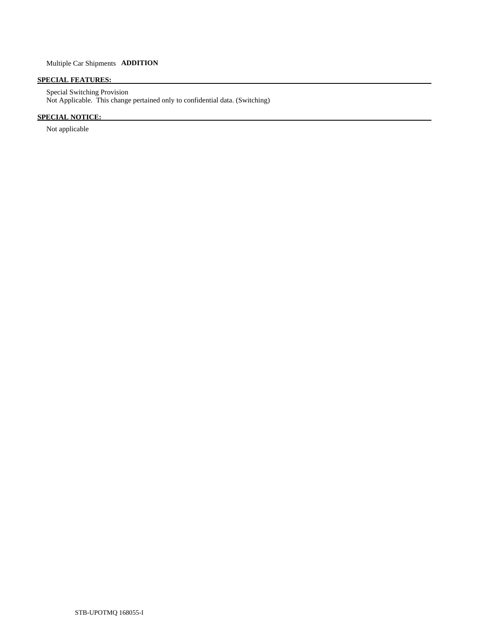# **SPECIAL FEATURES:**

 Special Switching Provision Not Applicable. This change pertained only to confidential data. (Switching)

# **SPECIAL NOTICE:**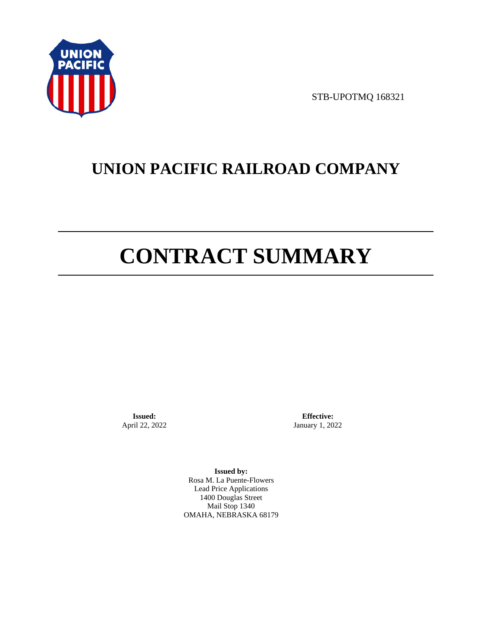

STB-UPOTMQ 168321

# **UNION PACIFIC RAILROAD COMPANY**

# **CONTRACT SUMMARY**

**Issued:**  April 22, 2022

**Effective:** January 1, 2022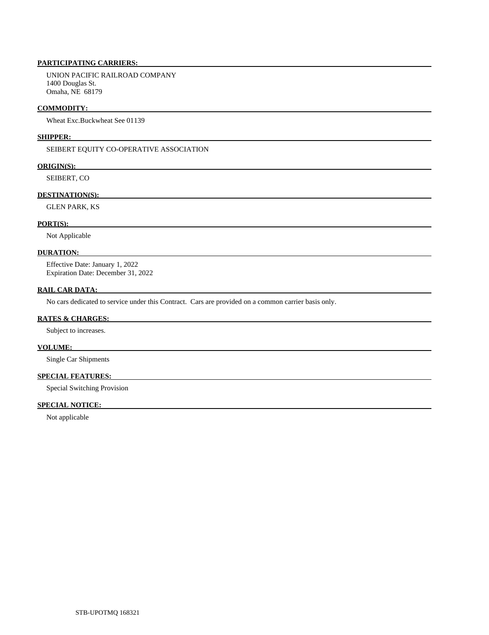UNION PACIFIC RAILROAD COMPANY 1400 Douglas St. Omaha, NE 68179

#### **COMMODITY:**

Wheat Exc.Buckwheat See 01139

#### **SHIPPER:**

SEIBERT EQUITY CO-OPERATIVE ASSOCIATION

## **ORIGIN(S):**

SEIBERT, CO

# **DESTINATION(S):**

GLEN PARK, KS

### **PORT(S):**

Not Applicable

# **DURATION:**

 Effective Date: January 1, 2022 Expiration Date: December 31, 2022

#### **RAIL CAR DATA:**

No cars dedicated to service under this Contract. Cars are provided on a common carrier basis only.

## **RATES & CHARGES:**

Subject to increases.

#### **VOLUME:**

Single Car Shipments

# **SPECIAL FEATURES:**

Special Switching Provision

# **SPECIAL NOTICE:**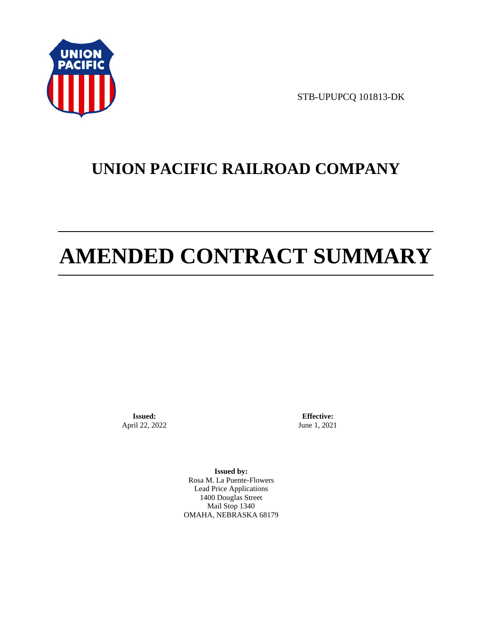

STB-UPUPCQ 101813-DK

# **UNION PACIFIC RAILROAD COMPANY**

# **AMENDED CONTRACT SUMMARY**

**Issued:**  April 22, 2022

**Effective:** June 1, 2021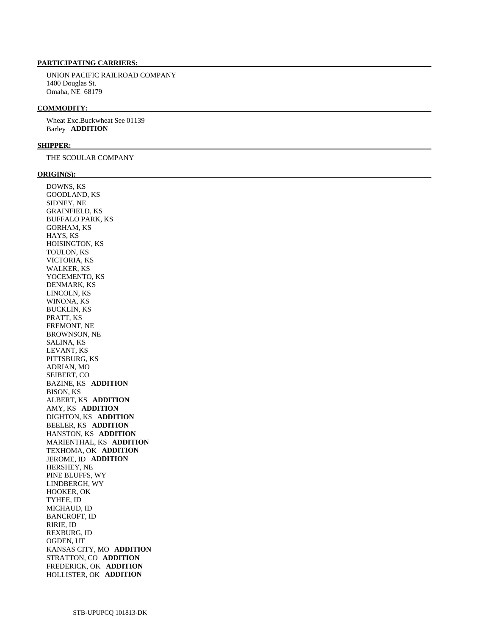UNION PACIFIC RAILROAD COMPANY 1400 Douglas St. Omaha, NE 68179

## **COMMODITY:**

 Wheat Exc.Buckwheat See 01139 Barley **ADDITION** 

#### **SHIPPER:**

THE SCOULAR COMPANY

#### **ORIGIN(S):**

 DOWNS, KS GOODLAND, KS SIDNEY, NE GRAINFIELD, KS BUFFALO PARK, KS GORHAM, KS HAYS, KS HOISINGTON, KS TOULON, KS VICTORIA, KS WALKER, KS YOCEMENTO, KS DENMARK, KS LINCOLN, KS WINONA, KS BUCKLIN, KS PRATT, KS FREMONT, NE BROWNSON, NE SALINA, KS LEVANT, KS PITTSBURG, KS ADRIAN, MO SEIBERT, CO BAZINE, KS **ADDITION**  BISON, KS ALBERT, KS **ADDITION**  AMY, KS **ADDITION**  DIGHTON, KS **ADDITION**  BEELER, KS **ADDITION**  HANSTON, KS **ADDITION**  MARIENTHAL, KS **ADDITION**  TEXHOMA, OK **ADDITION**  JEROME, ID **ADDITION**  HERSHEY, NE PINE BLUFFS, WY LINDBERGH, WY HOOKER, OK TYHEE, ID MICHAUD, ID BANCROFT, ID RIRIE, ID REXBURG, ID OGDEN, UT KANSAS CITY, MO **ADDITION**  STRATTON, CO **ADDITION**  FREDERICK, OK **ADDITION**  HOLLISTER, OK **ADDITION**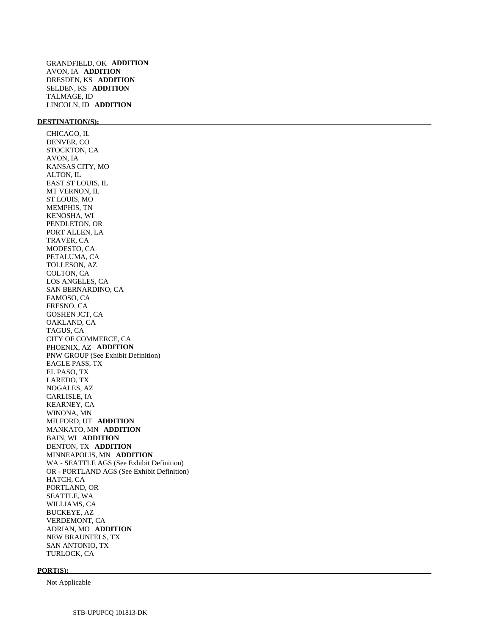# **DESTINATION(S):**

 CHICAGO, IL DENVER, CO STOCKTON, CA AVON, IA KANSAS CITY, MO ALTON, IL EAST ST LOUIS, IL MT VERNON, IL ST LOUIS, MO MEMPHIS, TN KENOSHA, WI PENDLETON, OR PORT ALLEN, LA TRAVER, CA MODESTO, CA PETALUMA, CA TOLLESON, AZ COLTON, CA LOS ANGELES, CA SAN BERNARDINO, CA FAMOSO, CA FRESNO, CA GOSHEN JCT, CA OAKLAND, CA TAGUS, CA CITY OF COMMERCE, CA PHOENIX, AZ **ADDITION**  PNW GROUP (See Exhibit Definition) EAGLE PASS, TX EL PASO, TX LAREDO, TX NOGALES, AZ CARLISLE, IA KEARNEY, CA WINONA, MN MILFORD, UT **ADDITION**  MANKATO, MN **ADDITION**  BAIN, WI **ADDITION**  DENTON, TX **ADDITION**  MINNEAPOLIS, MN **ADDITION**  WA - SEATTLE AGS (See Exhibit Definition) OR - PORTLAND AGS (See Exhibit Definition) HATCH, CA PORTLAND, OR SEATTLE, WA WILLIAMS, CA BUCKEYE, AZ VERDEMONT, CA ADRIAN, MO **ADDITION**  NEW BRAUNFELS, TX SAN ANTONIO, TX TURLOCK, CA

#### **PORT(S):**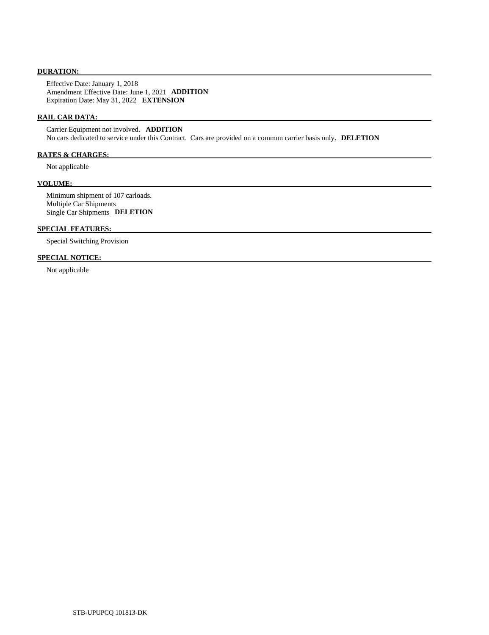#### **DURATION:**

 Effective Date: January 1, 2018 Amendment Effective Date: June 1, 2021 **ADDITION**  Expiration Date: May 31, 2022 **EXTENSION** 

## **RAIL CAR DATA:**

 Carrier Equipment not involved. **ADDITION**  No cars dedicated to service under this Contract. Cars are provided on a common carrier basis only. **DELETION** 

# **RATES & CHARGES:**

Not applicable

# **VOLUME:**

 Minimum shipment of 107 carloads. Multiple Car Shipments Single Car Shipments **DELETION** 

## **SPECIAL FEATURES:**

Special Switching Provision

# **SPECIAL NOTICE:**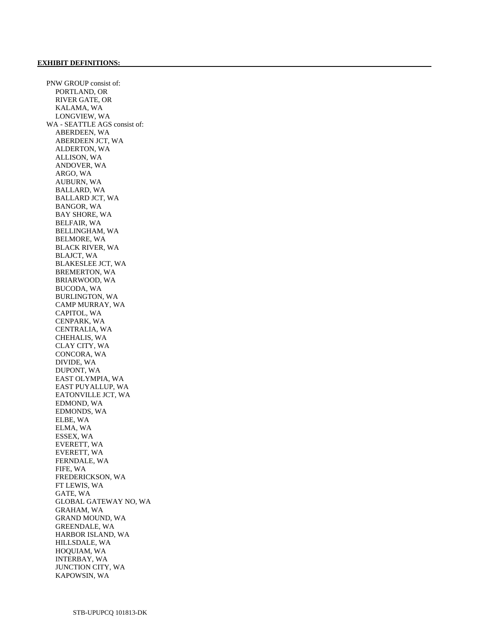PNW GROUP consist of: PORTLAND, OR RIVER GATE, OR KALAMA, WA LONGVIEW, WA WA - SEATTLE AGS consist of: ABERDEEN, WA ABERDEEN JCT, WA ALDERTON, WA ALLISON, WA ANDOVER, WA ARGO, WA AUBURN, WA BALLARD, WA BALLARD JCT, WA BANGOR, WA BAY SHORE, WA BELFAIR, WA BELLINGHAM, WA BELMORE, WA BLACK RIVER, WA BLAJCT, WA BLAKESLEE JCT, WA BREMERTON, WA BRIARWOOD, WA BUCODA, WA BURLINGTON, WA CAMP MURRAY, WA CAPITOL, WA CENPARK, WA CENTRALIA, WA CHEHALIS, WA CLAY CITY, WA CONCORA, WA DIVIDE, WA DUPONT, WA EAST OLYMPIA, WA EAST PUYALLUP, WA EATONVILLE JCT, WA EDMOND, WA EDMONDS, WA ELBE, WA ELMA, WA ESSEX, WA EVERETT, WA EVERETT, WA FERNDALE, WA FIFE, WA FREDERICKSON, WA FT LEWIS, WA GATE, WA GLOBAL GATEWAY NO, WA GRAHAM, WA GRAND MOUND, WA GREENDALE, WA HARBOR ISLAND, WA HILLSDALE, WA HOQUIAM, WA INTERBAY, WA JUNCTION CITY, WA KAPOWSIN, WA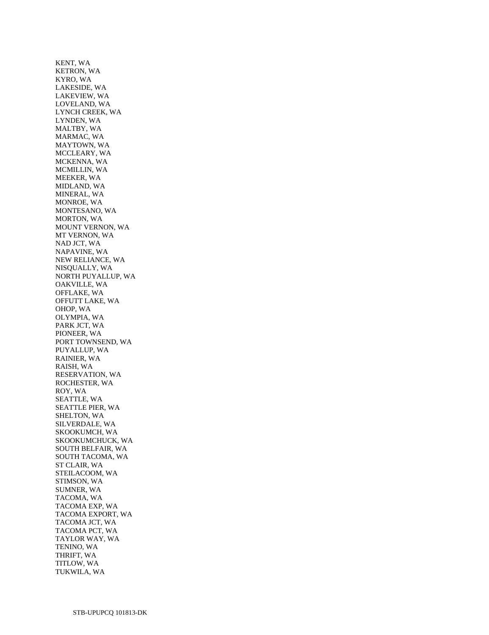KENT, WA KETRON, WA KYRO, WA LAKESIDE, WA LAKEVIEW, WA LOVELAND, WA LYNCH CREEK, WA LYNDEN, WA MALTBY, WA MARMAC, WA MAYTOWN, WA MCCLEARY, WA MCKENNA, WA MCMILLIN, WA MEEKER, WA MIDLAND, WA MINERAL, WA MONROE, WA MONTESANO, WA MORTON, WA MOUNT VERNON, WA MT VERNON, WA NAD JCT, WA NAPAVINE, WA NEW RELIANCE, WA NISQUALLY, WA NORTH PUYALLUP, WA OAKVILLE, WA OFFLAKE, WA OFFUTT LAKE, WA OHOP, WA OLYMPIA, WA PARK JCT, WA PIONEER, WA PORT TOWNSEND, WA PUYALLUP, WA RAINIER, WA RAISH, WA RESERVATION, WA ROCHESTER, WA ROY, WA SEATTLE, WA SEATTLE PIER, WA SHELTON, WA SILVERDALE, WA SKOOKUMCH, WA SKOOKUMCHUCK, WA SOUTH BELFAIR, WA SOUTH TACOMA, WA ST CLAIR, WA STEILACOOM, WA STIMSON, WA SUMNER, WA TACOMA, WA TACOMA EXP, WA TACOMA EXPORT, WA TACOMA JCT, WA TACOMA PCT, WA TAYLOR WAY, WA TENINO, WA THRIFT, WA TITLOW, WA TUKWILA, WA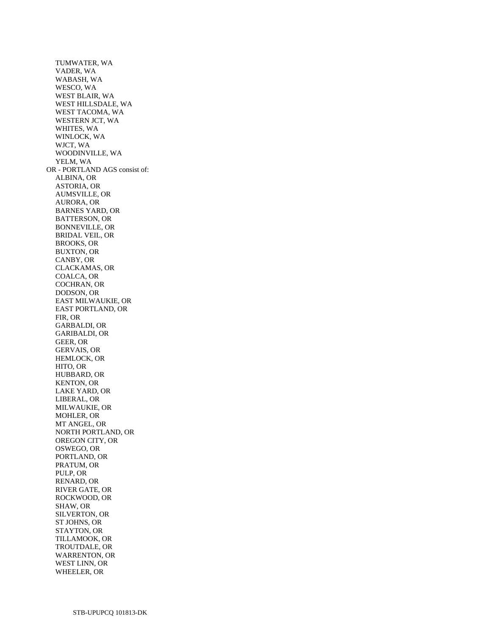TUMWATER, WA VADER, WA WABASH, WA WESCO, WA WEST BLAIR, WA WEST HILLSDALE, WA WEST TACOMA, WA WESTERN JCT, WA WHITES, WA WINLOCK, WA WJCT, WA WOODINVILLE, WA YELM, WA OR - PORTLAND AGS consist of: ALBINA, OR ASTORIA, OR AUMSVILLE, OR AURORA, OR BARNES YARD, OR BATTERSON, OR BONNEVILLE, OR BRIDAL VEIL, OR BROOKS, OR BUXTON, OR CANBY, OR CLACKAMAS, OR COALCA, OR COCHRAN, OR DODSON, OR EAST MILWAUKIE, OR EAST PORTLAND, OR FIR, OR GARBALDI, OR GARIBALDI, OR GEER, OR GERVAIS, OR HEMLOCK, OR HITO, OR HUBBARD, OR KENTON, OR LAKE YARD, OR LIBERAL, OR MILWAUKIE, OR MOHLER, OR MT ANGEL, OR NORTH PORTLAND, OR OREGON CITY, OR OSWEGO, OR PORTLAND, OR PRATUM, OR PULP, OR RENARD, OR RIVER GATE, OR ROCKWOOD, OR SHAW, OR SILVERTON, OR ST JOHNS, OR STAYTON, OR TILLAMOOK, OR TROUTDALE, OR WARRENTON, OR WEST LINN, OR WHEELER, OR